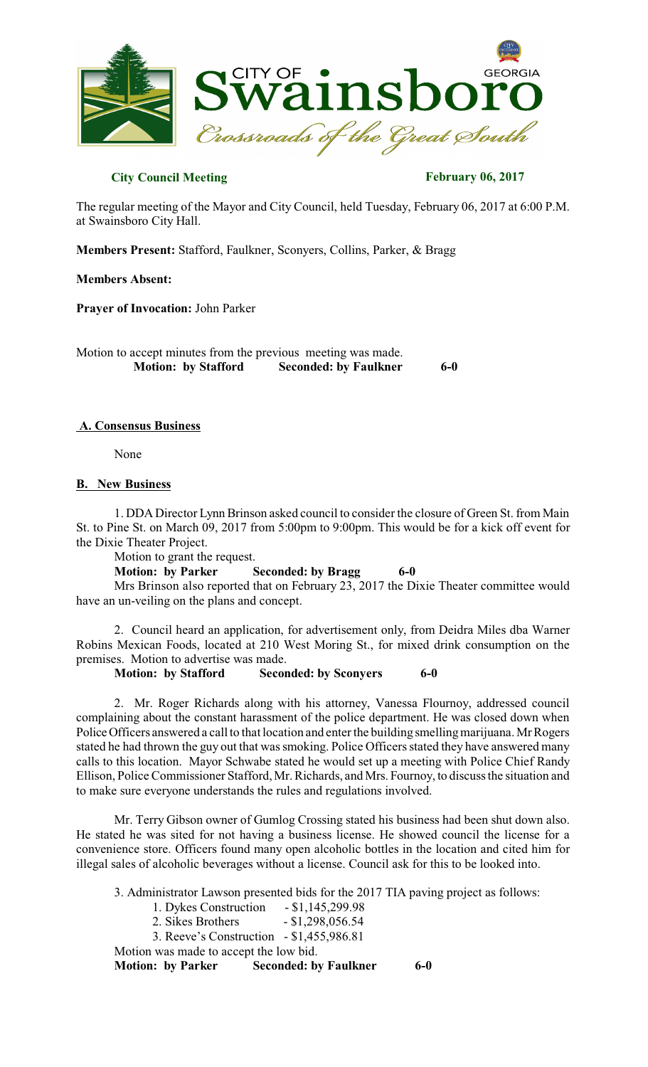

### **City Council Meeting February 06, 2017**

The regular meeting of the Mayor and City Council, held Tuesday, February 06, 2017 at 6:00 P.M. at Swainsboro City Hall.

**Members Present:** Stafford, Faulkner, Sconyers, Collins, Parker, & Bragg

#### **Members Absent:**

**Prayer of Invocation:** John Parker

Motion to accept minutes from the previous meeting was made.<br>Motion: by Stafford Seconded: by Faulkner  **Seconded:** by Faulkner 6-0

### **A. Consensus Business**

None

#### **B. New Business**

1. DDADirector Lynn Brinson asked council to consider the closure of Green St. from Main St. to Pine St. on March 09, 2017 from 5:00pm to 9:00pm. This would be for a kick off event for the Dixie Theater Project.

Motion to grant the request.

**Motion: by Parker Seconded: by Bragg 6-0** 

Mrs Brinson also reported that on February 23, 2017 the Dixie Theater committee would have an un-veiling on the plans and concept.

2. Council heard an application, for advertisement only, from Deidra Miles dba Warner Robins Mexican Foods, located at 210 West Moring St., for mixed drink consumption on the premises. Motion to advertise was made.

**Motion: by Stafford Seconded: by Sconyers 6-0** 

2. Mr. Roger Richards along with his attorney, Vanessa Flournoy, addressed council complaining about the constant harassment of the police department. He was closed down when Police Officers answered a call to that location and enter the building smelling marijuana. Mr Rogers stated he had thrown the guy out that was smoking. Police Officers stated they have answered many calls to this location. Mayor Schwabe stated he would set up a meeting with Police Chief Randy Ellison, Police Commissioner Stafford, Mr. Richards, and Mrs. Fournoy, to discussthe situation and to make sure everyone understands the rules and regulations involved.

Mr. Terry Gibson owner of Gumlog Crossing stated his business had been shut down also. He stated he was sited for not having a business license. He showed council the license for a convenience store. Officers found many open alcoholic bottles in the location and cited him for illegal sales of alcoholic beverages without a license. Council ask for this to be looked into.

3. Administrator Lawson presented bids for the 2017 TIA paving project as follows:

- 1. Dykes Construction \$1,145,299.98
- 2. Sikes Brothers \$1,298,056.54
- 3. Reeve's Construction \$1,455,986.81

Motion was made to accept the low bid.

**Motion: by Parker Seconded: by Faulkner 6-0**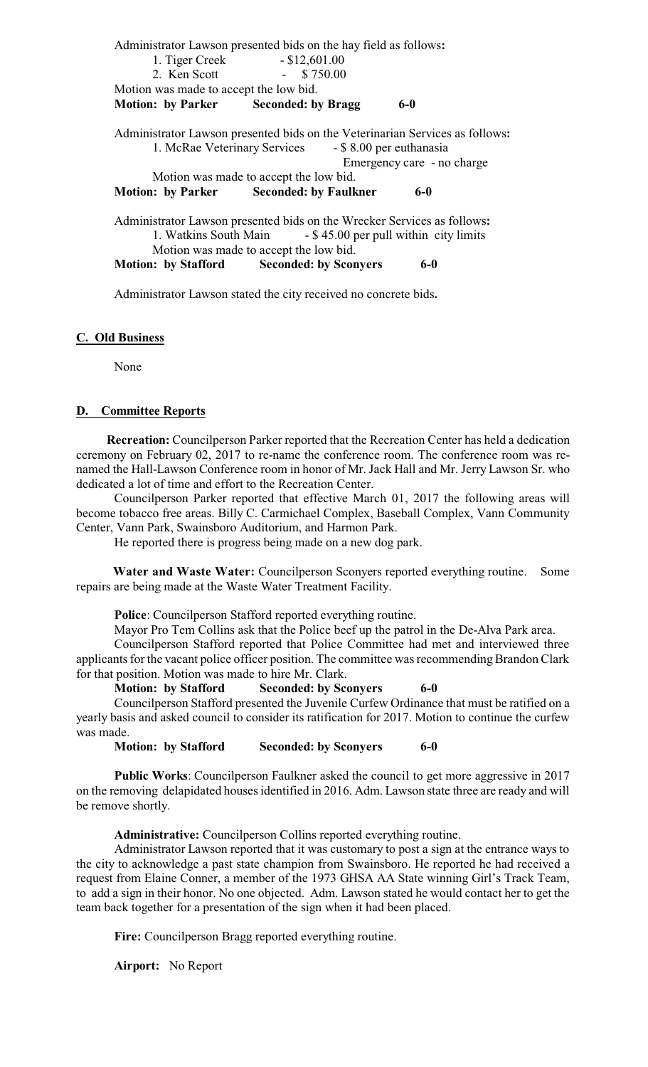|                                        | Administrator Lawson presented bids on the hay field as follows:             |  |
|----------------------------------------|------------------------------------------------------------------------------|--|
| 1. Tiger Creek                         | $-$ \$12,601.00                                                              |  |
| 2. Ken Scott                           | \$750.00<br><b>Contract Contract</b>                                         |  |
| Motion was made to accept the low bid. |                                                                              |  |
|                                        | <b>Motion:</b> by Parker Seconded: by Bragg<br>$6-0$                         |  |
|                                        | Administrator Lawson presented bids on the Veterinarian Services as follows: |  |
|                                        | 1. McRae Veterinary Services<br>- \$8.00 per euthanasia                      |  |
|                                        | Emergency care - no charge                                                   |  |
|                                        | Motion was made to accept the low bid.                                       |  |
|                                        | <b>Motion:</b> by Parker Seconded: by Faulkner<br>$6-0$                      |  |
|                                        | Administrator Lawson presented bids on the Wrecker Services as follows:      |  |
|                                        | 1. Watkins South Main - \$45.00 per pull within city limits                  |  |
|                                        | Motion was made to accept the low bid.                                       |  |

**Motion: by Stafford Seconded: by Sconyers 6-0** 

Administrator Lawson stated the city received no concrete bids**.**

#### **C. Old Business**

None

#### **D. Committee Reports**

**Recreation:** Councilperson Parker reported that the Recreation Center has held a dedication ceremony on February 02, 2017 to re-name the conference room. The conference room was renamed the Hall-Lawson Conference room in honor of Mr. Jack Hall and Mr. Jerry Lawson Sr. who dedicated a lot of time and effort to the Recreation Center.

Councilperson Parker reported that effective March 01, 2017 the following areas will become tobacco free areas. Billy C. Carmichael Complex, Baseball Complex, Vann Community Center, Vann Park, Swainsboro Auditorium, and Harmon Park.

He reported there is progress being made on a new dog park.

**Water and Waste Water:** Councilperson Sconyers reported everything routine. Some repairs are being made at the Waste Water Treatment Facility.

**Police**: Councilperson Stafford reported everything routine.

Mayor Pro Tem Collins ask that the Police beef up the patrol in the De-Alva Park area.

Councilperson Stafford reported that Police Committee had met and interviewed three applicants for the vacant police officer position. The committee was recommending Brandon Clark for that position. Motion was made to hire Mr. Clark.

#### **Motion: by Stafford Seconded: by Sconyers 6-0**

Councilperson Stafford presented the Juvenile Curfew Ordinance that must be ratified on a yearly basis and asked council to consider its ratification for 2017. Motion to continue the curfew was made.

**Motion: by Stafford Seconded: by Sconyers 6-0** 

**Public Works**: Councilperson Faulkner asked the council to get more aggressive in 2017 on the removing delapidated housesidentified in 2016. Adm. Lawson state three are ready and will be remove shortly.

 **Administrative:** Councilperson Collins reported everything routine.

Administrator Lawson reported that it was customary to post a sign at the entrance ways to the city to acknowledge a past state champion from Swainsboro. He reported he had received a request from Elaine Conner, a member of the 1973 GHSA AA State winning Girl's Track Team, to add a sign in their honor. No one objected. Adm. Lawson stated he would contact her to get the team back together for a presentation of the sign when it had been placed.

**Fire:** Councilperson Bragg reported everything routine.

**Airport:** No Report